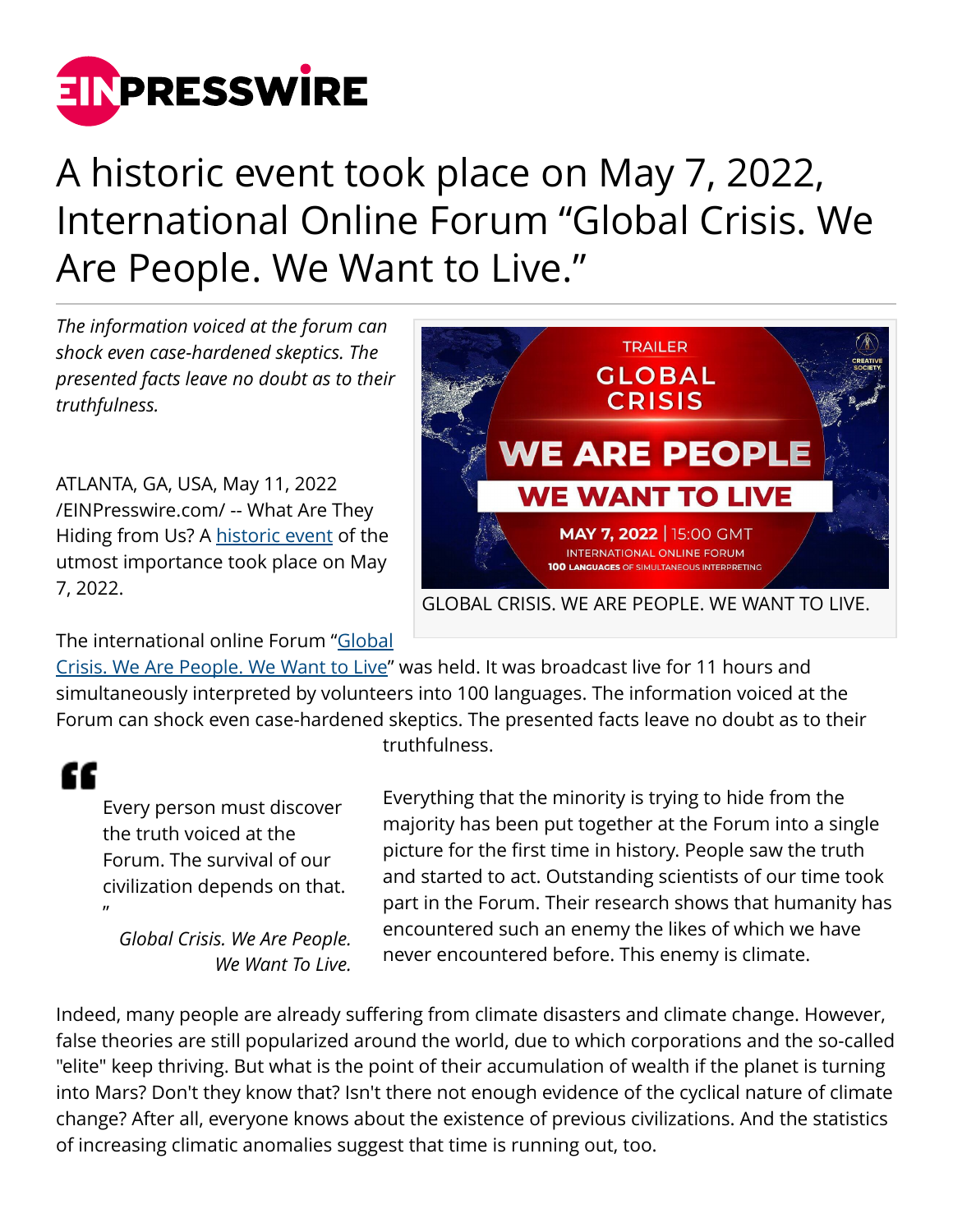

## A historic event took place on May 7, 2022, International Online Forum "Global Crisis. We Are People. We Want to Live."

*The information voiced at the forum can shock even case-hardened skeptics. The presented facts leave no doubt as to their truthfulness.*

ATLANTA, GA, USA, May 11, 2022 [/EINPresswire.com/](http://www.einpresswire.com) -- What Are They Hiding from Us? A [historic event](https://creativesociety.com/global-crisis-we-are-people-we-want-to-live) of the utmost importance took place on May 7, 2022.



The international online Forum "[Global](https://www.youtube.com/watch?v=d2Pk8eHdZRk)

[Crisis. We Are People. We Want to Live](https://www.youtube.com/watch?v=d2Pk8eHdZRk)" was held. It was broadcast live for 11 hours and simultaneously interpreted by volunteers into 100 languages. The information voiced at the Forum can shock even case-hardened skeptics. The presented facts leave no doubt as to their

## "

Every person must discover the truth voiced at the Forum. The survival of our civilization depends on that. "

*Global Crisis. We Are People. We Want To Live.* truthfulness.

Everything that the minority is trying to hide from the majority has been put together at the Forum into a single picture for the first time in history. People saw the truth and started to act. Outstanding scientists of our time took part in the Forum. Their research shows that humanity has encountered such an enemy the likes of which we have never encountered before. This enemy is climate.

Indeed, many people are already suffering from climate disasters and climate change. However, false theories are still popularized around the world, due to which corporations and the so-called "elite" keep thriving. But what is the point of their accumulation of wealth if the planet is turning into Mars? Don't they know that? Isn't there not enough evidence of the cyclical nature of climate change? After all, everyone knows about the existence of previous civilizations. And the statistics of increasing climatic anomalies suggest that time is running out, too.